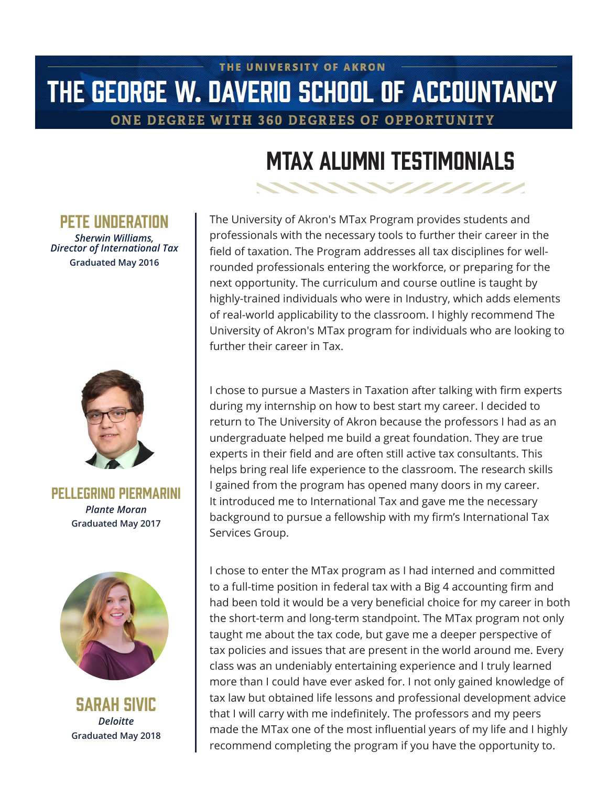## THE UNIVERSITY OF AKRON THE GEORGE W. DAVERIO SCHOOL OF ACCOUNTANCY

ONE DEGREE WITH 360 DEGREES OF OPPORTUNITY

# MTax Alumni Testimonials

### PFTF IINNFRATION

*Sherwin Williams, Director of International Tax* **Graduated May 2016**



Pellegrino Piermarini *Plante Moran* **Graduated May 2017**



Sarah Sivic *Deloitte* **Graduated May 2018**

The University of Akron's MTax Program provides students and professionals with the necessary tools to further their career in the field of taxation. The Program addresses all tax disciplines for wellrounded professionals entering the workforce, or preparing for the next opportunity. The curriculum and course outline is taught by highly-trained individuals who were in Industry, which adds elements of real-world applicability to the classroom. I highly recommend The University of Akron's MTax program for individuals who are looking to further their career in Tax.

I chose to pursue a Masters in Taxation after talking with firm experts during my internship on how to best start my career. I decided to return to The University of Akron because the professors I had as an undergraduate helped me build a great foundation. They are true experts in their field and are often still active tax consultants. This helps bring real life experience to the classroom. The research skills I gained from the program has opened many doors in my career. It introduced me to International Tax and gave me the necessary background to pursue a fellowship with my firm's International Tax Services Group.

I chose to enter the MTax program as I had interned and committed to a full-time position in federal tax with a Big 4 accounting firm and had been told it would be a very beneficial choice for my career in both the short-term and long-term standpoint. The MTax program not only taught me about the tax code, but gave me a deeper perspective of tax policies and issues that are present in the world around me. Every class was an undeniably entertaining experience and I truly learned more than I could have ever asked for. I not only gained knowledge of tax law but obtained life lessons and professional development advice that I will carry with me indefinitely. The professors and my peers made the MTax one of the most influential years of my life and I highly recommend completing the program if you have the opportunity to.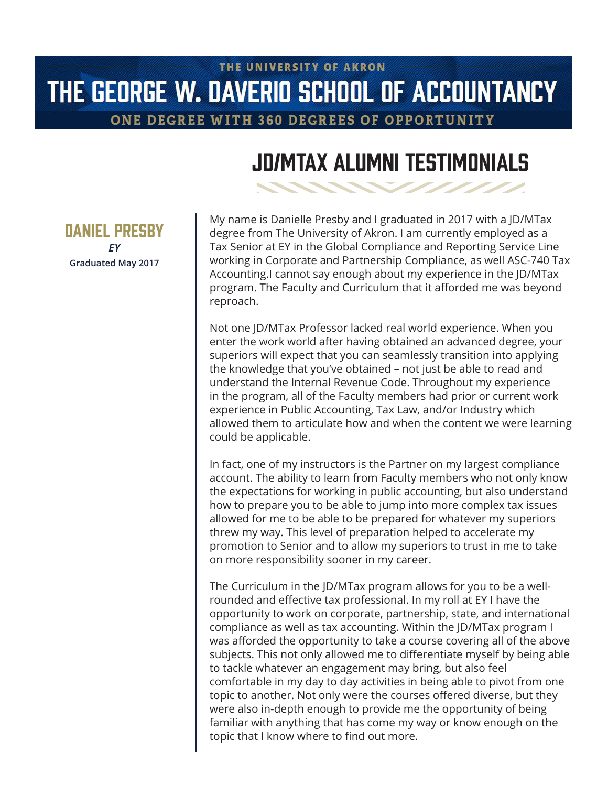## THE UNIVERSITY OF AKRON THE GEORGE W. DAVERIO SCHOOL OF ACCOUNTANCY

ONE DEGREE WITH 360 DEGREES OF OPPORTUNITY

## JD/MTax Alumni Testimonials

My name is Danielle Presby and I graduated in 2017 with a JD/MTax degree from The University of Akron. I am currently employed as a Tax Senior at EY in the Global Compliance and Reporting Service Line working in Corporate and Partnership Compliance, as well ASC-740 Tax Accounting.I cannot say enough about my experience in the JD/MTax program. The Faculty and Curriculum that it afforded me was beyond reproach.

Not one JD/MTax Professor lacked real world experience. When you enter the work world after having obtained an advanced degree, your superiors will expect that you can seamlessly transition into applying the knowledge that you've obtained – not just be able to read and understand the Internal Revenue Code. Throughout my experience in the program, all of the Faculty members had prior or current work experience in Public Accounting, Tax Law, and/or Industry which allowed them to articulate how and when the content we were learning could be applicable.

In fact, one of my instructors is the Partner on my largest compliance account. The ability to learn from Faculty members who not only know the expectations for working in public accounting, but also understand how to prepare you to be able to jump into more complex tax issues allowed for me to be able to be prepared for whatever my superiors threw my way. This level of preparation helped to accelerate my promotion to Senior and to allow my superiors to trust in me to take on more responsibility sooner in my career.

The Curriculum in the JD/MTax program allows for you to be a wellrounded and effective tax professional. In my roll at EY I have the opportunity to work on corporate, partnership, state, and international compliance as well as tax accounting. Within the JD/MTax program I was afforded the opportunity to take a course covering all of the above subjects. This not only allowed me to differentiate myself by being able to tackle whatever an engagement may bring, but also feel comfortable in my day to day activities in being able to pivot from one topic to another. Not only were the courses offered diverse, but they were also in-depth enough to provide me the opportunity of being familiar with anything that has come my way or know enough on the topic that I know where to find out more.

Daniel Presby *EY* **Graduated May 2017**